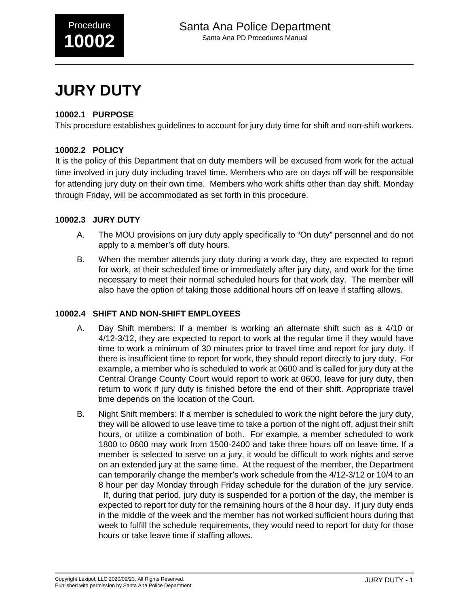

# **JURY DUTY**

## **10002.1 PURPOSE**

This procedure establishes guidelines to account for jury duty time for shift and non-shift workers.

## **10002.2 POLICY**

It is the policy of this Department that on duty members will be excused from work for the actual time involved in jury duty including travel time. Members who are on days off will be responsible for attending jury duty on their own time. Members who work shifts other than day shift, Monday through Friday, will be accommodated as set forth in this procedure.

### **10002.3 JURY DUTY**

- A. The MOU provisions on jury duty apply specifically to "On duty" personnel and do not apply to a member's off duty hours.
- B. When the member attends jury duty during a work day, they are expected to report for work, at their scheduled time or immediately after jury duty, and work for the time necessary to meet their normal scheduled hours for that work day. The member will also have the option of taking those additional hours off on leave if staffing allows.

#### **10002.4 SHIFT AND NON-SHIFT EMPLOYEES**

- A. Day Shift members: If a member is working an alternate shift such as a 4/10 or 4/12-3/12, they are expected to report to work at the regular time if they would have time to work a minimum of 30 minutes prior to travel time and report for jury duty. If there is insufficient time to report for work, they should report directly to jury duty. For example, a member who is scheduled to work at 0600 and is called for jury duty at the Central Orange County Court would report to work at 0600, leave for jury duty, then return to work if jury duty is finished before the end of their shift. Appropriate travel time depends on the location of the Court.
- B. Night Shift members: If a member is scheduled to work the night before the jury duty, they will be allowed to use leave time to take a portion of the night off, adjust their shift hours, or utilize a combination of both. For example, a member scheduled to work 1800 to 0600 may work from 1500-2400 and take three hours off on leave time. If a member is selected to serve on a jury, it would be difficult to work nights and serve on an extended jury at the same time. At the request of the member, the Department can temporarily change the member's work schedule from the 4/12-3/12 or 10/4 to an 8 hour per day Monday through Friday schedule for the duration of the jury service. If, during that period, jury duty is suspended for a portion of the day, the member is expected to report for duty for the remaining hours of the 8 hour day. If jury duty ends in the middle of the week and the member has not worked sufficient hours during that week to fulfill the schedule requirements, they would need to report for duty for those hours or take leave time if staffing allows.